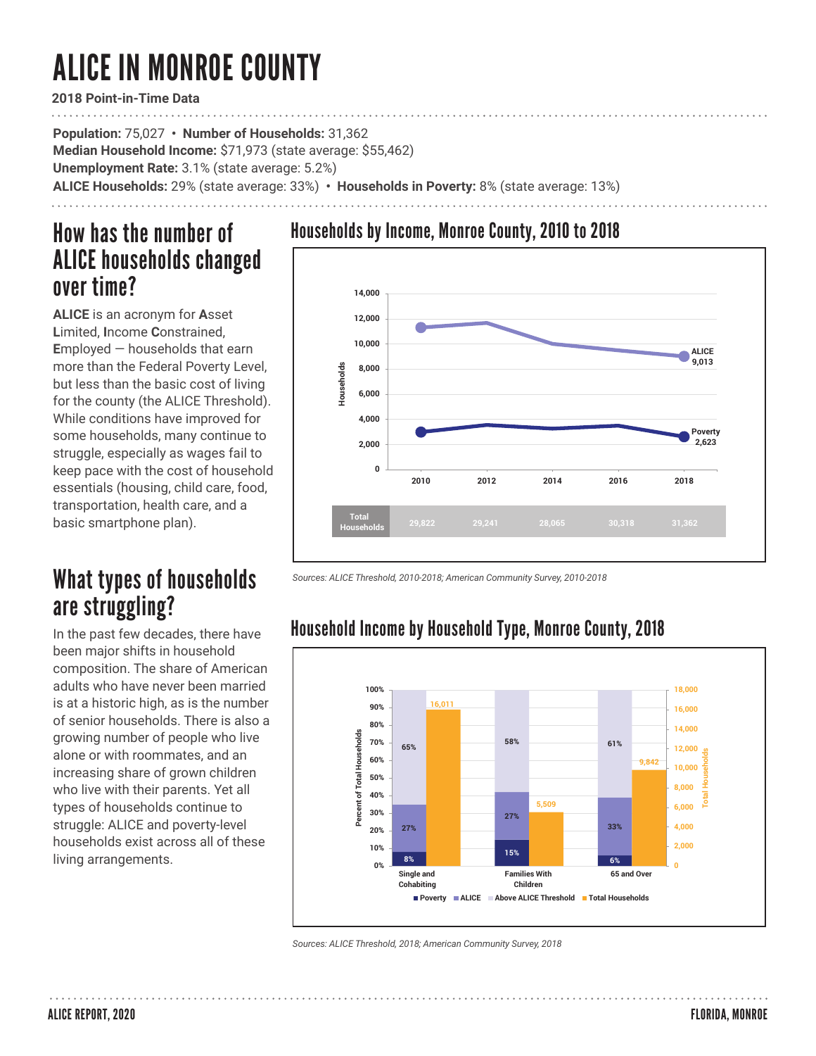# ALICE IN MONROE COUNTY

**2018 Point-in-Time Data**

**Population:** 75,027 **• Number of Households:** 31,362 **Median Household Income:** \$71,973 (state average: \$55,462) **Unemployment Rate:** 3.1% (state average: 5.2%) **ALICE Households:** 29% (state average: 33%) **• Households in Poverty:** 8% (state average: 13%)

### How has the number of ALICE households changed over time?

**ALICE** is an acronym for **A**sset **L**imited, **I**ncome **C**onstrained, **E**mployed — households that earn more than the Federal Poverty Level, but less than the basic cost of living for the county (the ALICE Threshold). While conditions have improved for some households, many continue to struggle, especially as wages fail to keep pace with the cost of household essentials (housing, child care, food, transportation, health care, and a basic smartphone plan).

## What types of households are struggling?

In the past few decades, there have been major shifts in household composition. The share of American adults who have never been married is at a historic high, as is the number of senior households. There is also a growing number of people who live alone or with roommates, and an increasing share of grown children who live with their parents. Yet all types of households continue to struggle: ALICE and poverty-level households exist across all of these living arrangements.

### Households by Income, Monroe County, 2010 to 2018



*Sources: ALICE Threshold, 2010-2018; American Community Survey, 2010-2018* 



Household Income by Household Type, Monroe County, 2018

*Sources: ALICE Threshold, 2018; American Community Survey, 2018*